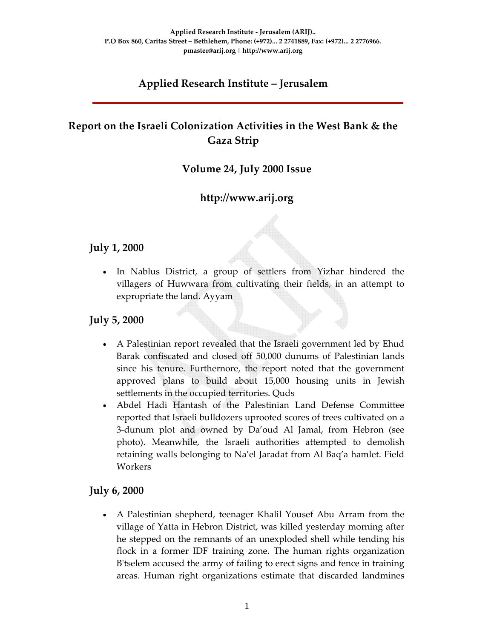# **Applied Research Institute – Jerusalem**

# **Report on the Israeli Colonization Activities in the West Bank & the Gaza Strip**

### **Volume 24, July 2000 Issue**

## **http://www.arij.org**

#### **July 1, 2000**

In Nablus District, a group of settlers from Yizhar hindered the villagers of Huwwara from cultivating their fields, in an attempt to expropriate the land. Ayyam

#### **July 5, 2000**

- A Palestinian report revealed that the Israeli government led by Ehud Barak confiscated and closed off 50,000 dunums of Palestinian lands since his tenure. Furthernore, the report noted that the government approved plans to build about 15,000 housing units in Jewish settlements in the occupied territories. Quds
- Abdel Hadi Hantash of the Palestinian Land Defense Committee reported that Israeli bulldozers uprooted scores of trees cultivated on a 3‐dunum plot and owned by Da'oud Al Jamal, from Hebron (see photo). Meanwhile, the Israeli authorities attempted to demolish retaining walls belonging to Na'el Jaradat from Al Baq'a hamlet. Field Workers

#### **July 6, 2000**

• A Palestinian shepherd, teenager Khalil Yousef Abu Arram from the village of Yatta in Hebron District, was killed yesterday morning after he stepped on the remnants of an unexploded shell while tending his flock in a former IDF training zone. The human rights organization B'tselem accused the army of failing to erect signs and fence in training areas. Human right organizations estimate that discarded landmines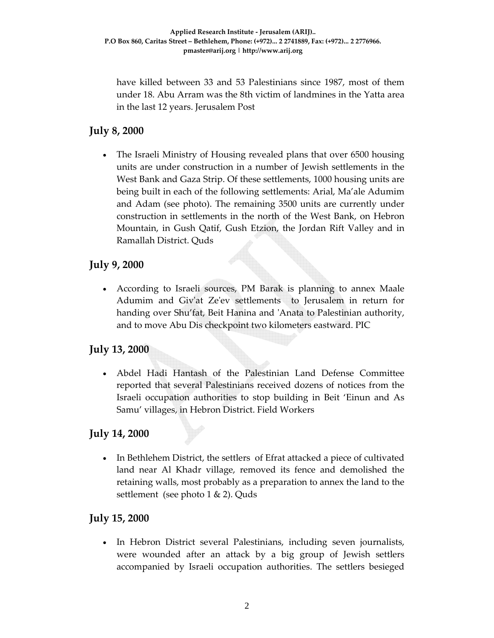have killed between 33 and 53 Palestinians since 1987, most of them under 18. Abu Arram was the 8th victim of landmines in the Yatta area in the last 12 years. Jerusalem Post

## **July 8, 2000**

• The Israeli Ministry of Housing revealed plans that over 6500 housing units are under construction in a number of Jewish settlements in the West Bank and Gaza Strip. Of these settlements, 1000 housing units are being built in each of the following settlements: Arial, Ma'ale Adumim and Adam (see photo). The remaining 3500 units are currently under construction in settlements in the north of the West Bank, on Hebron Mountain, in Gush Qatif, Gush Etzion, the Jordan Rift Valley and in Ramallah District. Quds

## **July 9, 2000**

• According to Israeli sources, PM Barak is planning to annex Maale Adumim and Giv'at Ze'ev settlements to Jerusalem in return for handing over Shu'fat, Beit Hanina and ʹAnata to Palestinian authority, and to move Abu Dis checkpoint two kilometers eastward. PIC

## **July 13, 2000**

• Abdel Hadi Hantash of the Palestinian Land Defense Committee reported that several Palestinians received dozens of notices from the Israeli occupation authorities to stop building in Beit 'Einun and As Samu' villages, in Hebron District. Field Workers

## **July 14, 2000**

In Bethlehem District, the settlers of Efrat attacked a piece of cultivated land near Al Khadr village, removed its fence and demolished the retaining walls, most probably as a preparation to annex the land to the settlement (see photo 1 & 2). Quds

### **July 15, 2000**

• In Hebron District several Palestinians, including seven journalists, were wounded after an attack by a big group of Jewish settlers accompanied by Israeli occupation authorities. The settlers besieged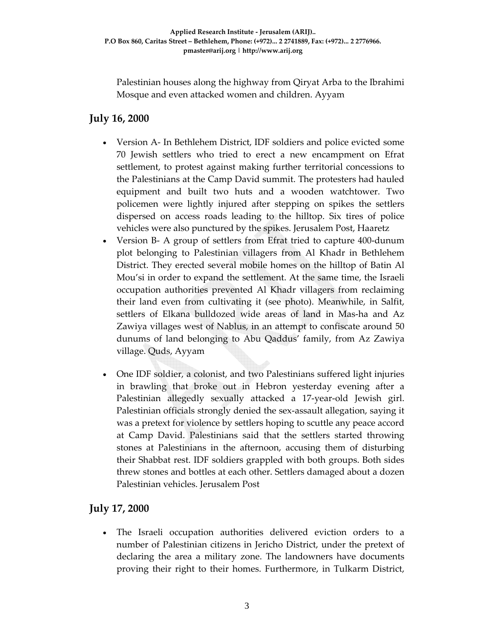Palestinian houses along the highway from Qiryat Arba to the Ibrahimi Mosque and even attacked women and children. Ayyam

## **July 16, 2000**

- Version A‐ In Bethlehem District, IDF soldiers and police evicted some 70 Jewish settlers who tried to erect a new encampment on Efrat settlement, to protest against making further territorial concessions to the Palestinians at the Camp David summit. The protesters had hauled equipment and built two huts and a wooden watchtower. Two policemen were lightly injured after stepping on spikes the settlers dispersed on access roads leading to the hilltop. Six tires of police vehicles were also punctured by the spikes. Jerusalem Post, Haaretz
- Version B‐ A group of settlers from Efrat tried to capture 400‐dunum plot belonging to Palestinian villagers from Al Khadr in Bethlehem District. They erected several mobile homes on the hilltop of Batin Al Mou'si in order to expand the settlement. At the same time, the Israeli occupation authorities prevented Al Khadr villagers from reclaiming their land even from cultivating it (see photo). Meanwhile, in Salfit, settlers of Elkana bulldozed wide areas of land in Mas‐ha and Az Zawiya villages west of Nablus, in an attempt to confiscate around 50 dunums of land belonging to Abu Qaddus' family, from Az Zawiya village. Quds, Ayyam
- One IDF soldier, a colonist, and two Palestinians suffered light injuries in brawling that broke out in Hebron yesterday evening after a Palestinian allegedly sexually attacked a 17‐year‐old Jewish girl. Palestinian officials strongly denied the sex‐assault allegation, saying it was a pretext for violence by settlers hoping to scuttle any peace accord at Camp David. Palestinians said that the settlers started throwing stones at Palestinians in the afternoon, accusing them of disturbing their Shabbat rest. IDF soldiers grappled with both groups. Both sides threw stones and bottles at each other. Settlers damaged about a dozen Palestinian vehicles. Jerusalem Post

### **July 17, 2000**

• The Israeli occupation authorities delivered eviction orders to a number of Palestinian citizens in Jericho District, under the pretext of declaring the area a military zone. The landowners have documents proving their right to their homes. Furthermore, in Tulkarm District,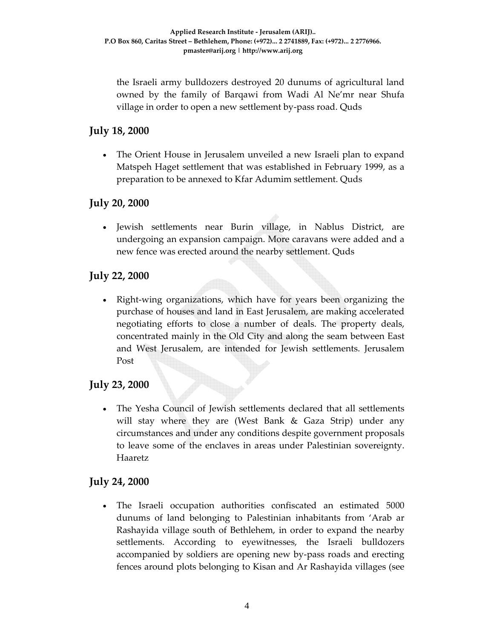the Israeli army bulldozers destroyed 20 dunums of agricultural land owned by the family of Barqawi from Wadi Al Ne'mr near Shufa village in order to open a new settlement by‐pass road. Quds

### **July 18, 2000**

• The Orient House in Jerusalem unveiled a new Israeli plan to expand Matspeh Haget settlement that was established in February 1999, as a preparation to be annexed to Kfar Adumim settlement. Quds

### **July 20, 2000**

• Jewish settlements near Burin village, in Nablus District, are undergoing an expansion campaign. More caravans were added and a new fence was erected around the nearby settlement. Quds

### **July 22, 2000**

• Right‐wing organizations, which have for years been organizing the purchase of houses and land in East Jerusalem, are making accelerated negotiating efforts to close a number of deals. The property deals, concentrated mainly in the Old City and along the seam between East and West Jerusalem, are intended for Jewish settlements. Jerusalem Post

### **July 23, 2000**

• The Yesha Council of Jewish settlements declared that all settlements will stay where they are (West Bank & Gaza Strip) under any circumstances and under any conditions despite government proposals to leave some of the enclaves in areas under Palestinian sovereignty. Haaretz

### **July 24, 2000**

• The Israeli occupation authorities confiscated an estimated 5000 dunums of land belonging to Palestinian inhabitants from 'Arab ar Rashayida village south of Bethlehem, in order to expand the nearby settlements. According to eyewitnesses, the Israeli bulldozers accompanied by soldiers are opening new by‐pass roads and erecting fences around plots belonging to Kisan and Ar Rashayida villages (see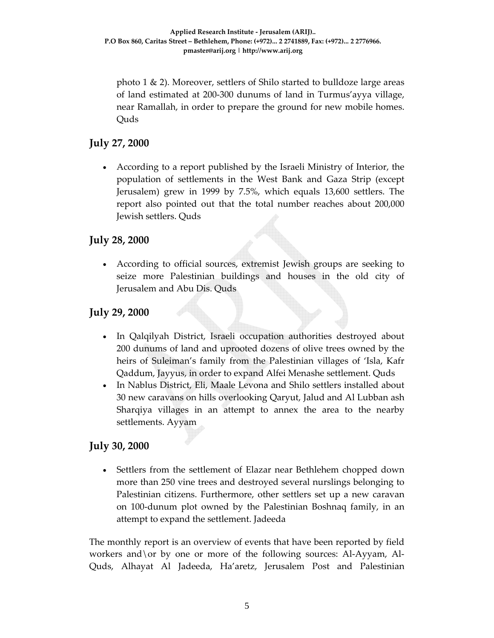photo 1  $\&$  2). Moreover, settlers of Shilo started to bulldoze large areas of land estimated at 200‐300 dunums of land in Turmus'ayya village, near Ramallah, in order to prepare the ground for new mobile homes. Quds

### **July 27, 2000**

• According to a report published by the Israeli Ministry of Interior, the population of settlements in the West Bank and Gaza Strip (except Jerusalem) grew in 1999 by 7.5%, which equals 13,600 settlers. The report also pointed out that the total number reaches about 200,000 Jewish settlers. Quds

### **July 28, 2000**

• According to official sources, extremist Jewish groups are seeking to seize more Palestinian buildings and houses in the old city of Jerusalem and Abu Dis. Quds

### **July 29, 2000**

- In Qalqilyah District, Israeli occupation authorities destroyed about 200 dunums of land and uprooted dozens of olive trees owned by the heirs of Suleiman's family from the Palestinian villages of 'Isla, Kafr Qaddum, Jayyus, in order to expand Alfei Menashe settlement. Quds
- In Nablus District, Eli, Maale Levona and Shilo settlers installed about 30 new caravans on hills overlooking Qaryut, Jalud and Al Lubban ash Sharqiya villages in an attempt to annex the area to the nearby settlements. Ayyam

### **July 30, 2000**

Settlers from the settlement of Elazar near Bethlehem chopped down more than 250 vine trees and destroyed several nurslings belonging to Palestinian citizens. Furthermore, other settlers set up a new caravan on 100‐dunum plot owned by the Palestinian Boshnaq family, in an attempt to expand the settlement. Jadeeda

The monthly report is an overview of events that have been reported by field workers and \or by one or more of the following sources: Al-Ayyam, Al-Quds, Alhayat Al Jadeeda, Ha'aretz, Jerusalem Post and Palestinian